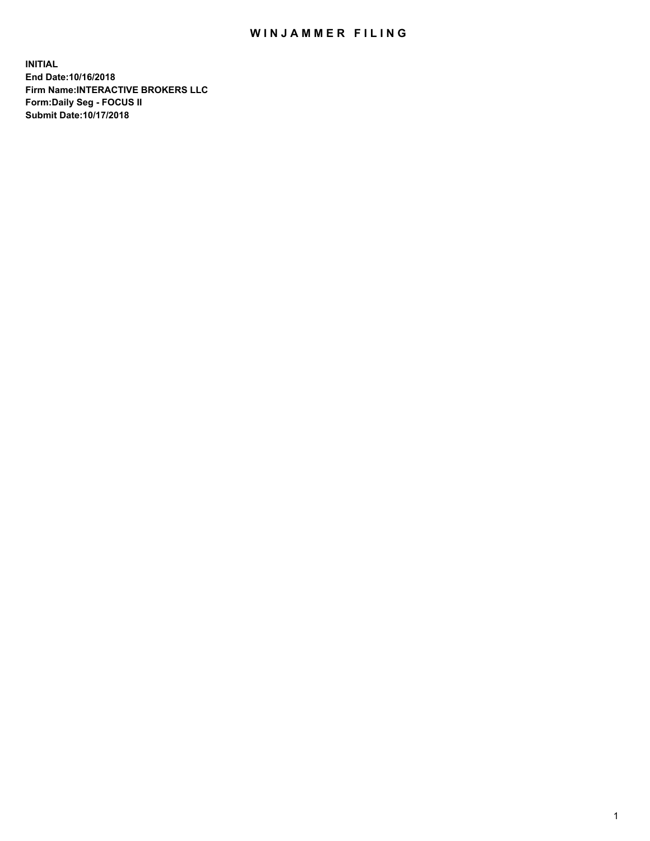## WIN JAMMER FILING

**INITIAL End Date:10/16/2018 Firm Name:INTERACTIVE BROKERS LLC Form:Daily Seg - FOCUS II Submit Date:10/17/2018**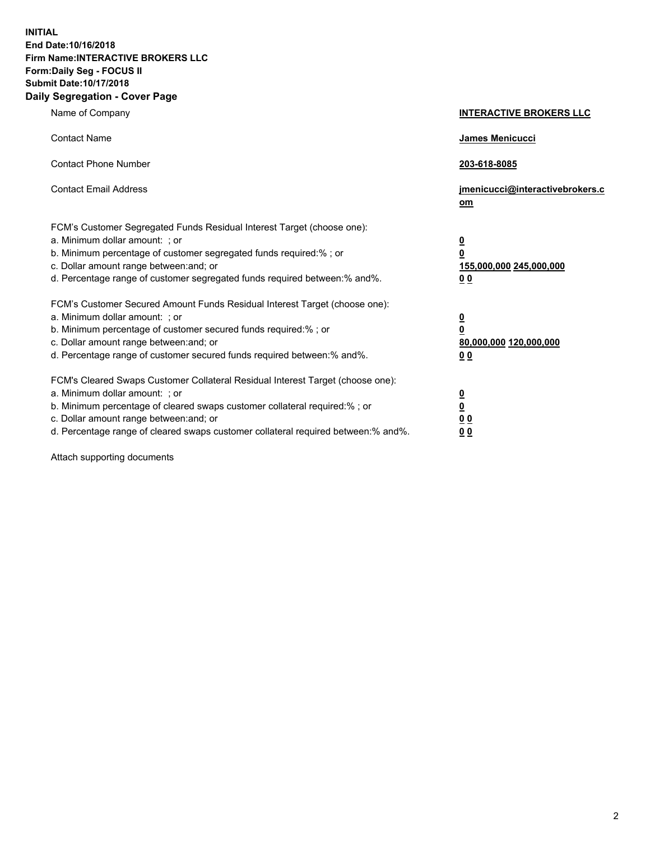**INITIAL End Date:10/16/2018 Firm Name:INTERACTIVE BROKERS LLC Form:Daily Seg - FOCUS II Submit Date:10/17/2018 Daily Segregation - Cover Page**

| Name of Company                                                                                                                                                                                                                                                                                                                | <b>INTERACTIVE BROKERS LLC</b>                                                                  |
|--------------------------------------------------------------------------------------------------------------------------------------------------------------------------------------------------------------------------------------------------------------------------------------------------------------------------------|-------------------------------------------------------------------------------------------------|
| <b>Contact Name</b>                                                                                                                                                                                                                                                                                                            | James Menicucci                                                                                 |
| <b>Contact Phone Number</b>                                                                                                                                                                                                                                                                                                    | 203-618-8085                                                                                    |
| <b>Contact Email Address</b>                                                                                                                                                                                                                                                                                                   | jmenicucci@interactivebrokers.c<br>om                                                           |
| FCM's Customer Segregated Funds Residual Interest Target (choose one):<br>a. Minimum dollar amount: ; or<br>b. Minimum percentage of customer segregated funds required:%; or<br>c. Dollar amount range between: and; or<br>d. Percentage range of customer segregated funds required between:% and%.                          | $\overline{\mathbf{0}}$<br>$\overline{\mathbf{0}}$<br>155,000,000 245,000,000<br>0 <sub>0</sub> |
| FCM's Customer Secured Amount Funds Residual Interest Target (choose one):<br>a. Minimum dollar amount: ; or<br>b. Minimum percentage of customer secured funds required:% ; or<br>c. Dollar amount range between: and; or<br>d. Percentage range of customer secured funds required between:% and%.                           | $\overline{\mathbf{0}}$<br>$\overline{\mathbf{0}}$<br>80,000,000 120,000,000<br>0 <sub>0</sub>  |
| FCM's Cleared Swaps Customer Collateral Residual Interest Target (choose one):<br>a. Minimum dollar amount: ; or<br>b. Minimum percentage of cleared swaps customer collateral required:% ; or<br>c. Dollar amount range between: and; or<br>d. Percentage range of cleared swaps customer collateral required between:% and%. | $\overline{\mathbf{0}}$<br>$\underline{\mathbf{0}}$<br>0 <sub>0</sub><br>0 <sub>0</sub>         |

Attach supporting documents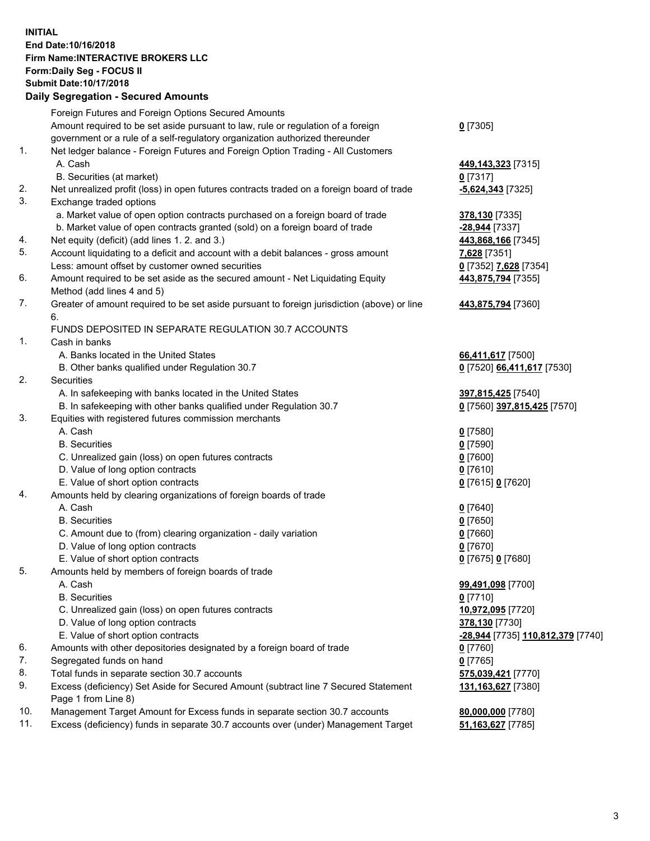## **INITIAL End Date:10/16/2018 Firm Name:INTERACTIVE BROKERS LLC Form:Daily Seg - FOCUS II Submit Date:10/17/2018 Daily Segregation - Secured Amounts**

|     | Dally Segregation - Secured Amounts                                                                  |                                   |
|-----|------------------------------------------------------------------------------------------------------|-----------------------------------|
|     | Foreign Futures and Foreign Options Secured Amounts                                                  |                                   |
|     | Amount required to be set aside pursuant to law, rule or regulation of a foreign                     | $0$ [7305]                        |
|     | government or a rule of a self-regulatory organization authorized thereunder                         |                                   |
| 1.  | Net ledger balance - Foreign Futures and Foreign Option Trading - All Customers                      |                                   |
|     | A. Cash                                                                                              | 449,143,323 [7315]                |
|     | B. Securities (at market)                                                                            | $0$ [7317]                        |
| 2.  | Net unrealized profit (loss) in open futures contracts traded on a foreign board of trade            | $-5,624,343$ [7325]               |
| 3.  | Exchange traded options                                                                              |                                   |
|     | a. Market value of open option contracts purchased on a foreign board of trade                       | 378,130 [7335]                    |
|     | b. Market value of open contracts granted (sold) on a foreign board of trade                         | $-28,944$ [7337]                  |
| 4.  | Net equity (deficit) (add lines 1.2. and 3.)                                                         | 443,868,166 [7345]                |
| 5.  | Account liquidating to a deficit and account with a debit balances - gross amount                    | 7,628 [7351]                      |
|     | Less: amount offset by customer owned securities                                                     | 0 [7352] 7,628 [7354]             |
| 6.  | Amount required to be set aside as the secured amount - Net Liquidating Equity                       | 443,875,794 [7355]                |
|     | Method (add lines 4 and 5)                                                                           |                                   |
| 7.  | Greater of amount required to be set aside pursuant to foreign jurisdiction (above) or line          | 443,875,794 [7360]                |
|     | 6.                                                                                                   |                                   |
|     | FUNDS DEPOSITED IN SEPARATE REGULATION 30.7 ACCOUNTS                                                 |                                   |
| 1.  | Cash in banks                                                                                        |                                   |
|     | A. Banks located in the United States                                                                | 66,411,617 [7500]                 |
|     | B. Other banks qualified under Regulation 30.7                                                       | 0 [7520] 66,411,617 [7530]        |
| 2.  | Securities                                                                                           |                                   |
|     | A. In safekeeping with banks located in the United States                                            | 397,815,425 [7540]                |
|     | B. In safekeeping with other banks qualified under Regulation 30.7                                   | 0 [7560] 397,815,425 [7570]       |
| 3.  | Equities with registered futures commission merchants                                                |                                   |
|     | A. Cash                                                                                              | $0$ [7580]                        |
|     | <b>B.</b> Securities                                                                                 | $0$ [7590]                        |
|     | C. Unrealized gain (loss) on open futures contracts                                                  | $0$ [7600]                        |
|     | D. Value of long option contracts                                                                    | $0$ [7610]                        |
|     | E. Value of short option contracts                                                                   | 0 [7615] 0 [7620]                 |
| 4.  | Amounts held by clearing organizations of foreign boards of trade                                    |                                   |
|     | A. Cash                                                                                              |                                   |
|     | <b>B.</b> Securities                                                                                 | $0$ [7640]                        |
|     |                                                                                                      | $0$ [7650]                        |
|     | C. Amount due to (from) clearing organization - daily variation<br>D. Value of long option contracts | $0$ [7660]                        |
|     |                                                                                                      | $0$ [7670]                        |
|     | E. Value of short option contracts                                                                   | 0 [7675] 0 [7680]                 |
| 5.  | Amounts held by members of foreign boards of trade                                                   |                                   |
|     | A. Cash                                                                                              | 99,491,098 [7700]                 |
|     | <b>B.</b> Securities                                                                                 | $0$ [7710]                        |
|     | C. Unrealized gain (loss) on open futures contracts                                                  | 10,972,095 [7720]                 |
|     | D. Value of long option contracts                                                                    | 378,130 [7730]                    |
|     | E. Value of short option contracts                                                                   | -28,944 [7735] 110,812,379 [7740] |
| 6.  | Amounts with other depositories designated by a foreign board of trade                               | $0$ [7760]                        |
| 7.  | Segregated funds on hand                                                                             | $0$ [7765]                        |
| 8.  | Total funds in separate section 30.7 accounts                                                        | 575,039,421 [7770]                |
| 9.  | Excess (deficiency) Set Aside for Secured Amount (subtract line 7 Secured Statement                  | 131,163,627 [7380]                |
|     | Page 1 from Line 8)                                                                                  |                                   |
| 10. | Management Target Amount for Excess funds in separate section 30.7 accounts                          | 80,000,000 [7780]                 |
| 11. | Excess (deficiency) funds in separate 30.7 accounts over (under) Management Target                   | 51,163,627 [7785]                 |
|     |                                                                                                      |                                   |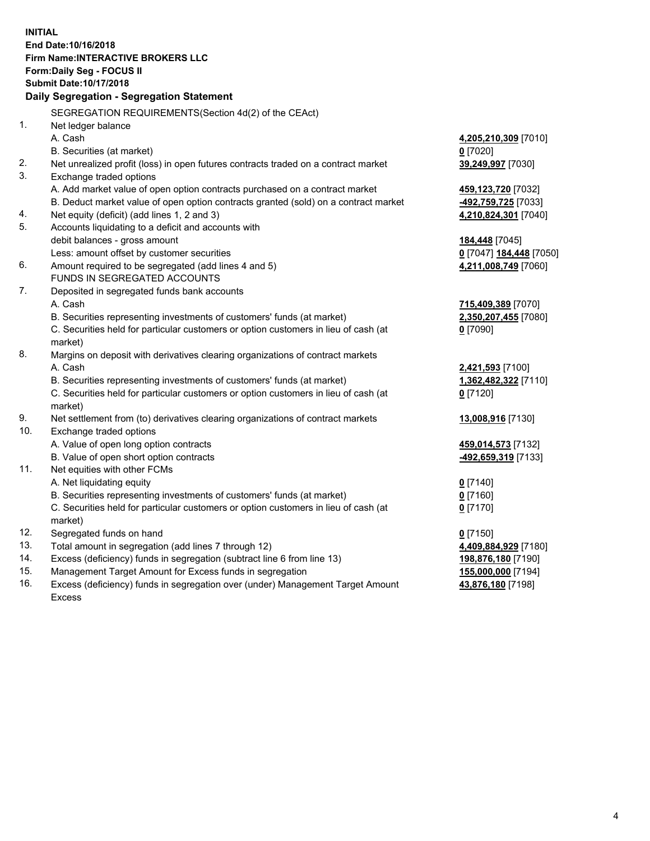**INITIAL End Date:10/16/2018 Firm Name:INTERACTIVE BROKERS LLC Form:Daily Seg - FOCUS II Submit Date:10/17/2018 Daily Segregation - Segregation Statement** SEGREGATION REQUIREMENTS(Section 4d(2) of the CEAct) 1. Net ledger balance A. Cash **4,205,210,309** [7010] B. Securities (at market) **0** [7020] 2. Net unrealized profit (loss) in open futures contracts traded on a contract market **39,249,997** [7030] 3. Exchange traded options A. Add market value of open option contracts purchased on a contract market **459,123,720** [7032] B. Deduct market value of open option contracts granted (sold) on a contract market **-492,759,725** [7033] 4. Net equity (deficit) (add lines 1, 2 and 3) **4,210,824,301** [7040] 5. Accounts liquidating to a deficit and accounts with debit balances - gross amount **184,448** [7045] Less: amount offset by customer securities **0** [7047] **184,448** [7050] 6. Amount required to be segregated (add lines 4 and 5) **4,211,008,749** [7060] FUNDS IN SEGREGATED ACCOUNTS 7. Deposited in segregated funds bank accounts A. Cash **715,409,389** [7070] B. Securities representing investments of customers' funds (at market) **2,350,207,455** [7080] C. Securities held for particular customers or option customers in lieu of cash (at market) **0** [7090] 8. Margins on deposit with derivatives clearing organizations of contract markets A. Cash **2,421,593** [7100] B. Securities representing investments of customers' funds (at market) **1,362,482,322** [7110] C. Securities held for particular customers or option customers in lieu of cash (at market) **0** [7120] 9. Net settlement from (to) derivatives clearing organizations of contract markets **13,008,916** [7130] 10. Exchange traded options A. Value of open long option contracts **459,014,573** [7132] B. Value of open short option contracts **-492,659,319** [7133] 11. Net equities with other FCMs A. Net liquidating equity **0** [7140] B. Securities representing investments of customers' funds (at market) **0** [7160] C. Securities held for particular customers or option customers in lieu of cash (at market) **0** [7170] 12. Segregated funds on hand **0** [7150] 13. Total amount in segregation (add lines 7 through 12) **4,409,884,929** [7180] 14. Excess (deficiency) funds in segregation (subtract line 6 from line 13) **198,876,180** [7190] 15. Management Target Amount for Excess funds in segregation **155,000,000** [7194]

16. Excess (deficiency) funds in segregation over (under) Management Target Amount Excess

**43,876,180** [7198]